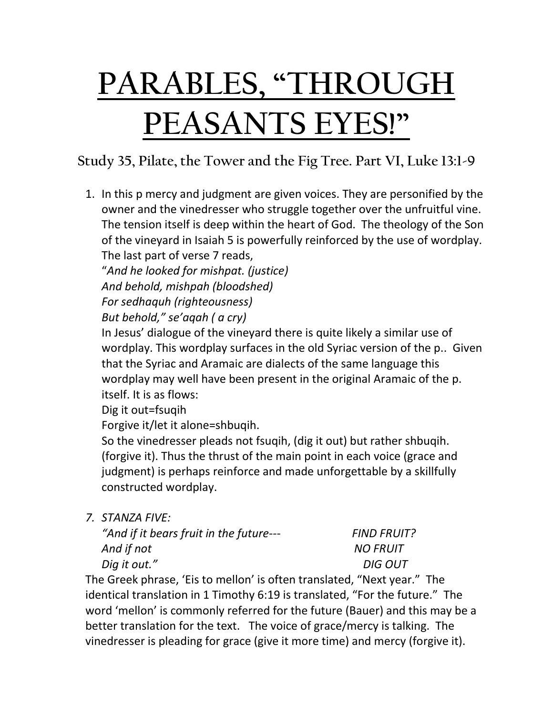## **PARABLES, "THROUGH PEASANTS EYES!"**

**Study 35, Pilate, the Tower and the Fig Tree. Part VI, Luke 13:1-9**

1. In this p mercy and judgment are given voices. They are personified by the owner and the vinedresser who struggle together over the unfruitful vine. The tension itself is deep within the heart of God. The theology of the Son of the vineyard in Isaiah 5 is powerfully reinforced by the use of wordplay. The last part of verse 7 reads,

"*And he looked for mishpat. (justice) And behold, mishpah (bloodshed) For sedhaquh (righteousness)*

*But behold," se'aqah ( a cry)*

In Jesus' dialogue of the vineyard there is quite likely a similar use of wordplay. This wordplay surfaces in the old Syriac version of the p.. Given that the Syriac and Aramaic are dialects of the same language this wordplay may well have been present in the original Aramaic of the p. itself. It is as flows:

Dig it out=fsuqih

Forgive it/let it alone=shbuqih.

So the vinedresser pleads not fsuqih, (dig it out) but rather shbuqih. (forgive it). Thus the thrust of the main point in each voice (grace and judgment) is perhaps reinforce and made unforgettable by a skillfully constructed wordplay.

*7. STANZA FIVE:*

| "And if it bears fruit in the future--- | <b>FIND FRUIT?</b> |
|-----------------------------------------|--------------------|
| And if not                              | <b>NO FRUIT</b>    |
| Dig it out."                            | DIG OUT            |

The Greek phrase, 'Eis to mellon' is often translated, "Next year." The identical translation in 1 Timothy 6:19 is translated, "For the future." The word 'mellon' is commonly referred for the future (Bauer) and this may be a better translation for the text. The voice of grace/mercy is talking. The vinedresser is pleading for grace (give it more time) and mercy (forgive it).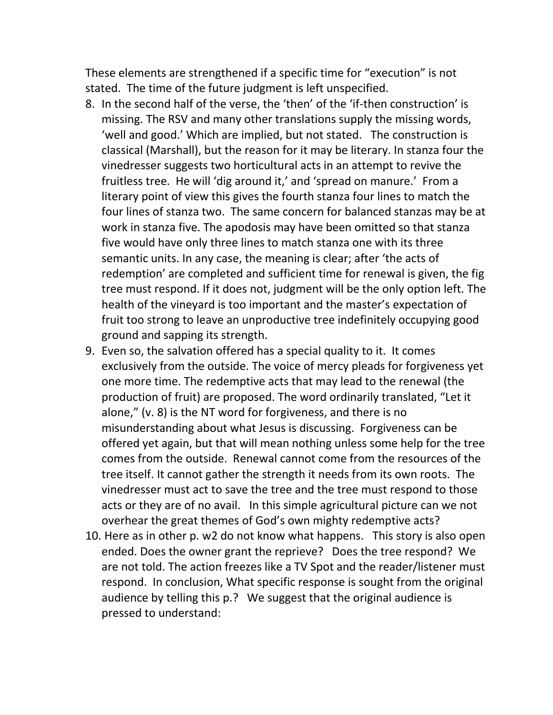These elements are strengthened if a specific time for "execution" is not stated. The time of the future judgment is left unspecified.

- 8. In the second half of the verse, the 'then' of the 'if-then construction' is missing. The RSV and many other translations supply the missing words, 'well and good.' Which are implied, but not stated. The construction is classical (Marshall), but the reason for it may be literary. In stanza four the vinedresser suggests two horticultural acts in an attempt to revive the fruitless tree. He will 'dig around it,' and 'spread on manure.' From a literary point of view this gives the fourth stanza four lines to match the four lines of stanza two. The same concern for balanced stanzas may be at work in stanza five. The apodosis may have been omitted so that stanza five would have only three lines to match stanza one with its three semantic units. In any case, the meaning is clear; after 'the acts of redemption' are completed and sufficient time for renewal is given, the fig tree must respond. If it does not, judgment will be the only option left. The health of the vineyard is too important and the master's expectation of fruit too strong to leave an unproductive tree indefinitely occupying good ground and sapping its strength.
- 9. Even so, the salvation offered has a special quality to it. It comes exclusively from the outside. The voice of mercy pleads for forgiveness yet one more time. The redemptive acts that may lead to the renewal (the production of fruit) are proposed. The word ordinarily translated, "Let it alone," (v. 8) is the NT word for forgiveness, and there is no misunderstanding about what Jesus is discussing. Forgiveness can be offered yet again, but that will mean nothing unless some help for the tree comes from the outside. Renewal cannot come from the resources of the tree itself. It cannot gather the strength it needs from its own roots. The vinedresser must act to save the tree and the tree must respond to those acts or they are of no avail. In this simple agricultural picture can we not overhear the great themes of God's own mighty redemptive acts?
- 10. Here as in other p. w2 do not know what happens. This story is also open ended. Does the owner grant the reprieve? Does the tree respond? We are not told. The action freezes like a TV Spot and the reader/listener must respond. In conclusion, What specific response is sought from the original audience by telling this p.? We suggest that the original audience is pressed to understand: